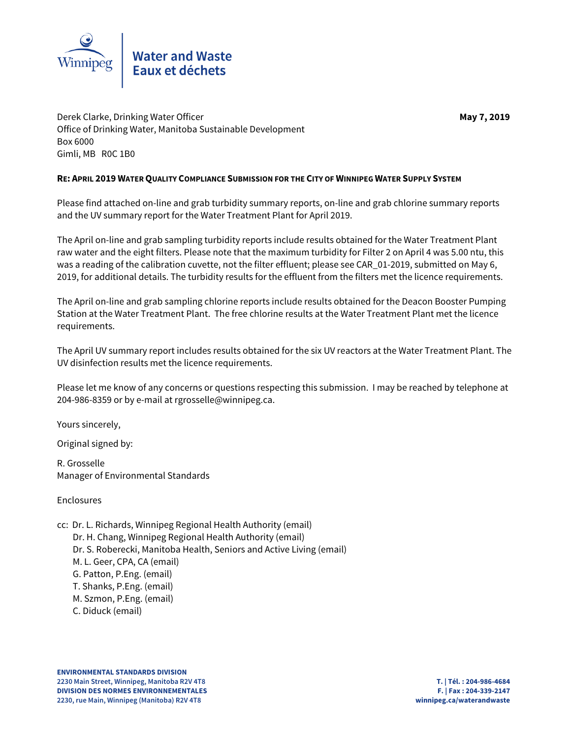

Derek Clarke, Drinking Water Officer **May 7, 2019** Office of Drinking Water, Manitoba Sustainable Development Box 6000 Gimli, MB R0C 1B0

# **RE: APRIL 2019 WATER QUALITY COMPLIANCE SUBMISSION FOR THE CITY OF WINNIPEG WATER SUPPLY SYSTEM**

Please find attached on-line and grab turbidity summary reports, on-line and grab chlorine summary reports and the UV summary report for the Water Treatment Plant for April 2019.

The April on-line and grab sampling turbidity reports include results obtained for the Water Treatment Plant raw water and the eight filters. Please note that the maximum turbidity for Filter 2 on April 4 was 5.00 ntu, this was a reading of the calibration cuvette, not the filter effluent; please see CAR\_01-2019, submitted on May 6, 2019, for additional details. The turbidity results for the effluent from the filters met the licence requirements.

The April on-line and grab sampling chlorine reports include results obtained for the Deacon Booster Pumping Station at the Water Treatment Plant. The free chlorine results at the Water Treatment Plant met the licence requirements.

The April UV summary report includes results obtained for the six UV reactors at the Water Treatment Plant. The UV disinfection results met the licence requirements.

Please let me know of any concerns or questions respecting this submission. I may be reached by telephone at 204-986-8359 or by e-mail at rgrosselle@winnipeg.ca.

Yours sincerely,

Original signed by:

R. Grosselle Manager of Environmental Standards

Enclosures

- cc: Dr. L. Richards, Winnipeg Regional Health Authority (email)
	- Dr. H. Chang, Winnipeg Regional Health Authority (email)
	- Dr. S. Roberecki, Manitoba Health, Seniors and Active Living (email)
	- M. L. Geer, CPA, CA (email)
	- G. Patton, P.Eng. (email)
	- T. Shanks, P.Eng. (email)
	- M. Szmon, P.Eng. (email)
	- C. Diduck (email)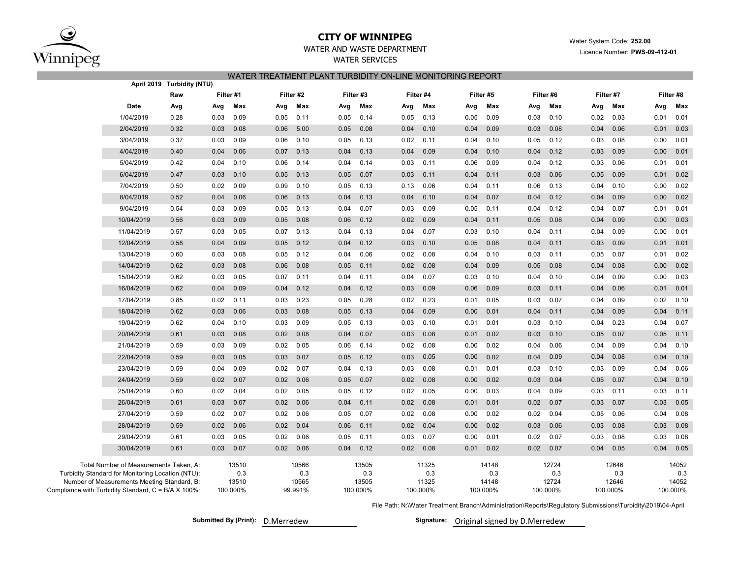

## **CITY OF WINNIPEG**

Water System Code: **252.00**

Licence Number: **PWS-09-412-01**

# WATER AND WASTE DEPARTMENT

WATER SERVICES WATER TREATMENT PLANT TURBIDITY ON-LINE MONITORING REPORT

|                                                     | April 2019 Turbidity (NTU)             |           |          |      |           |      |                |      |           |       |           |       |           |       |           |       |           |  |
|-----------------------------------------------------|----------------------------------------|-----------|----------|------|-----------|------|----------------|------|-----------|-------|-----------|-------|-----------|-------|-----------|-------|-----------|--|
|                                                     | Raw                                    | Filter #1 |          |      | Filter #2 |      | Filter #3      |      | Filter #4 |       | Filter #5 |       | Filter #6 |       | Filter #7 |       | Filter #8 |  |
| Date                                                | Avg                                    | Avg       | Max      | Avg  | Max       | Avg  | Max            | Avg  | Max       | Avg   | Max       | Avg   | Max       | Avg   | Max       | Avg   | Max       |  |
| 1/04/2019                                           | 0.28                                   | 0.03      | 0.09     | 0.05 | 0.11      | 0.05 | 0.14           | 0.05 | 0.13      | 0.05  | 0.09      | 0.03  | 0.10      | 0.02  | 0.03      | 0.01  | 0.01      |  |
| 2/04/2019                                           | 0.32                                   | 0.03      | 0.08     | 0.06 | 5.00      | 0.05 | 0.08           | 0.04 | 0.10      | 0.04  | 0.09      | 0.03  | 0.08      | 0.04  | 0.06      | 0.01  | 0.03      |  |
| 3/04/2019                                           | 0.37                                   | 0.03      | 0.09     | 0.06 | 0.10      | 0.05 | 0.13           | 0.02 | 0.11      | 0.04  | 0.10      | 0.05  | 0.12      | 0.03  | 0.08      | 0.00  | 0.01      |  |
| 4/04/2019                                           | 0.40                                   | 0.04      | 0.06     | 0.07 | 0.13      | 0.04 | 0.13           | 0.04 | 0.09      | 0.04  | 0.10      | 0.04  | 0.12      | 0.03  | 0.09      | 0.00  | 0.01      |  |
| 5/04/2019                                           | 0.42                                   | 0.04      | 0.10     | 0.06 | 0.14      | 0.04 | 0.14           | 0.03 | 0.11      | 0.06  | 0.09      | 0.04  | 0.12      | 0.03  | 0.06      | 0.01  | 0.01      |  |
| 6/04/2019                                           | 0.47                                   | 0.03      | 0.10     | 0.05 | 0.13      | 0.05 | 0.07           | 0.03 | 0.11      | 0.04  | 0.11      | 0.03  | 0.06      | 0.05  | 0.09      | 0.01  | 0.02      |  |
| 7/04/2019                                           | 0.50                                   | 0.02      | 0.09     | 0.09 | 0.10      | 0.05 | 0.13           | 0.13 | 0.06      | 0.04  | 0.11      | 0.06  | 0.13      | 0.04  | 0.10      | 0.00  | 0.02      |  |
| 8/04/2019                                           | 0.52                                   | 0.04      | 0.06     | 0.06 | 0.13      | 0.04 | 0.13           | 0.04 | 0.10      | 0.04  | 0.07      | 0.04  | 0.12      | 0.04  | 0.09      | 0.00  | 0.02      |  |
| 9/04/2019                                           | 0.54                                   | 0.03      | 0.09     | 0.05 | 0.13      | 0.04 | 0.07           | 0.03 | 0.09      | 0.05  | 0.11      | 0.04  | 0.12      | 0.04  | 0.07      | 0.01  | 0.01      |  |
| 10/04/2019                                          | 0.56                                   | 0.03      | 0.09     | 0.05 | 0.08      | 0.06 | 0.12           | 0.02 | 0.09      | 0.04  | 0.11      | 0.05  | 0.08      | 0.04  | 0.09      | 0.00  | 0.03      |  |
| 11/04/2019                                          | 0.57                                   | 0.03      | 0.05     | 0.07 | 0.13      | 0.04 | 0.13           | 0.04 | 0.07      | 0.03  | 0.10      | 0.04  | 0.11      | 0.04  | 0.09      | 0.00  | 0.01      |  |
| 12/04/2019                                          | 0.58                                   | 0.04      | 0.09     | 0.05 | 0.12      | 0.04 | 0.12           | 0.03 | 0.10      | 0.05  | 0.08      | 0.04  | 0.11      | 0.03  | 0.09      | 0.01  | 0.01      |  |
| 13/04/2019                                          | 0.60                                   | 0.03      | 0.08     | 0.05 | 0.12      | 0.04 | 0.06           | 0.02 | 0.08      | 0.04  | 0.10      | 0.03  | 0.11      | 0.05  | 0.07      | 0.01  | 0.02      |  |
| 14/04/2019                                          | 0.62                                   | 0.03      | 0.08     | 0.06 | 0.08      | 0.05 | 0.11           | 0.02 | 0.08      | 0.04  | 0.09      | 0.05  | 0.08      | 0.04  | 0.08      | 0.00  | 0.02      |  |
| 15/04/2019                                          | 0.62                                   | 0.03      | 0.05     | 0.07 | 0.11      | 0.04 | 0.11           | 0.04 | 0.07      | 0.03  | 0.10      | 0.04  | 0.10      | 0.04  | 0.09      | 0.00  | 0.03      |  |
| 16/04/2019                                          | 0.62                                   | 0.04      | 0.09     | 0.04 | 0.12      | 0.04 | 0.12           | 0.03 | 0.09      | 0.06  | 0.09      | 0.03  | 0.11      | 0.04  | 0.06      | 0.01  | 0.01      |  |
| 17/04/2019                                          | 0.85                                   | 0.02      | 0.11     | 0.03 | 0.23      | 0.05 | 0.28           | 0.02 | 0.23      | 0.01  | 0.05      | 0.03  | 0.07      | 0.04  | 0.09      | 0.02  | 0.10      |  |
| 18/04/2019                                          | 0.62                                   | 0.03      | 0.06     | 0.03 | 0.08      | 0.05 | 0.13           | 0.04 | 0.09      | 0.00  | 0.01      | 0.04  | 0.11      | 0.04  | 0.09      | 0.04  | 0.11      |  |
| 19/04/2019                                          | 0.62                                   | 0.04      | 0.10     | 0.03 | 0.09      | 0.05 | 0.13           | 0.03 | 0.10      | 0.01  | 0.01      | 0.03  | 0.10      | 0.04  | 0.23      | 0.04  | 0.07      |  |
| 20/04/2019                                          | 0.61                                   | 0.03      | 0.08     | 0.02 | 0.08      | 0.04 | 0.07           | 0.03 | 0.08      | 0.01  | 0.02      | 0.03  | 0.10      | 0.05  | 0.07      | 0.05  | 0.11      |  |
| 21/04/2019                                          | 0.59                                   | 0.03      | 0.09     | 0.02 | 0.05      | 0.06 | 0.14           | 0.02 | 0.08      | 0.00  | 0.02      | 0.04  | 0.06      | 0.04  | 0.09      | 0.04  | 0.10      |  |
| 22/04/2019                                          | 0.59                                   | 0.03      | 0.05     | 0.03 | 0.07      | 0.05 | 0.12           | 0.03 | 0.05      | 0.00  | 0.02      | 0.04  | 0.09      | 0.04  | 0.08      | 0.04  | 0.10      |  |
| 23/04/2019                                          | 0.59                                   | 0.04      | 0.09     | 0.02 | 0.07      | 0.04 | 0.13           | 0.03 | 0.08      | 0.01  | 0.01      | 0.03  | 0.10      | 0.03  | 0.09      | 0.04  | 0.06      |  |
| 24/04/2019                                          | 0.59                                   | 0.02      | 0.07     | 0.02 | 0.06      | 0.05 | 0.07           | 0.02 | 0.08      | 0.00  | 0.02      | 0.03  | 0.04      | 0.05  | 0.07      | 0.04  | 0.10      |  |
| 25/04/2019                                          | 0.60                                   | 0.02      | 0.04     | 0.02 | 0.05      | 0.05 | 0.12           | 0.02 | 0.05      | 0.00  | 0.03      | 0.04  | 0.09      | 0.03  | 0.11      | 0.03  | 0.11      |  |
| 26/04/2019                                          | 0.61                                   | 0.03      | 0.07     | 0.02 | 0.06      | 0.04 | 0.11           | 0.02 | 0.08      | 0.01  | 0.01      | 0.02  | 0.07      | 0.03  | 0.07      | 0.03  | 0.05      |  |
| 27/04/2019                                          | 0.59                                   | 0.02      | 0.07     | 0.02 | 0.06      | 0.05 | 0.07           | 0.02 | 0.08      | 0.00  | 0.02      | 0.02  | 0.04      | 0.05  | 0.06      | 0.04  | 0.08      |  |
| 28/04/2019                                          | 0.59                                   | 0.02      | 0.06     | 0.02 | 0.04      | 0.06 | 0.11           | 0.02 | 0.04      | 0.00  | 0.02      | 0.03  | 0.06      | 0.03  | 0.08      | 0.03  | 0.08      |  |
| 29/04/2019                                          | 0.61                                   | 0.03      | 0.05     | 0.02 | 0.06      | 0.05 | 0.11           | 0.03 | 0.07      | 0.00  | 0.01      | 0.02  | 0.07      | 0.03  | 0.08      | 0.03  | 0.08      |  |
| 30/04/2019                                          | 0.61                                   | 0.03      | 0.07     | 0.02 | 0.06      | 0.04 | 0.12           | 0.02 | 0.08      | 0.01  | 0.02      | 0.02  | 0.07      | 0.04  | 0.05      | 0.04  | 0.05      |  |
|                                                     | Total Number of Measurements Taken, A: |           | 13510    |      | 10566     |      | 13505          |      | 11325     |       | 14148     |       | 12724     |       | 12646     |       | 14052     |  |
| Turbidity Standard for Monitoring Location (NTU):   |                                        |           | 0.3      |      | 0.3       |      | 0.3            |      | 0.3       |       | 0.3       |       | 0.3       |       | 0.3       |       | 0.3       |  |
| Number of Measurements Meeting Standard, B:         |                                        |           | 13510    |      | 10565     |      | 13505<br>11325 |      |           | 14148 |           | 12724 |           | 12646 |           | 14052 |           |  |
| Compliance with Turbidity Standard, C = B/A X 100%: |                                        |           | 100.000% |      | 99.991%   |      | 100.000%       |      | 100.000%  |       | 100.000%  |       | 100.000%  |       | 100.000%  |       | 100.000%  |  |
|                                                     |                                        |           |          |      |           |      |                |      |           |       |           |       |           |       |           |       |           |  |

File Path: N:\Water Treatment Branch\Administration\Reports\Regulatory Submissions\Turbidity\2019\04-April

**Submitted By (Print): D.Merredew** 

Signature: Original signed by D.Merredew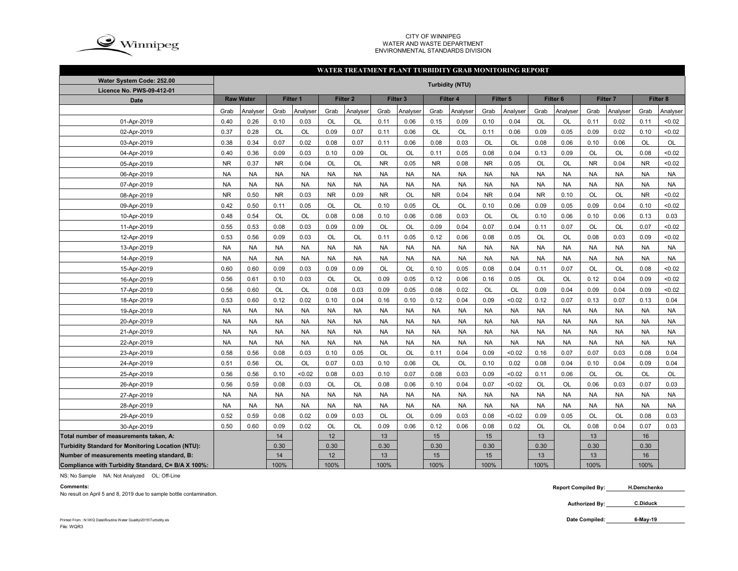

#### CITY OF WINNIPEG WATER AND WASTE DEPARTMENTENVIRONMENTAL STANDARDS DIVISION

### **WATER TREATMENT PLANT TURBIDITY GRAB MONITORING REPORT**

| Water System Code: 252.00                          |           |                  |           |                     |           |                     |           |                     |           | <b>Turbidity (NTU)</b> |           |                     |                     |           |                 |           |           |           |
|----------------------------------------------------|-----------|------------------|-----------|---------------------|-----------|---------------------|-----------|---------------------|-----------|------------------------|-----------|---------------------|---------------------|-----------|-----------------|-----------|-----------|-----------|
| Licence No. PWS-09-412-01                          |           |                  |           |                     |           |                     |           |                     |           |                        |           |                     |                     |           |                 |           |           |           |
| <b>Date</b>                                        |           | <b>Raw Water</b> |           | Filter <sub>1</sub> |           | Filter <sub>2</sub> |           | Filter <sub>3</sub> |           | Filter 4               |           | Filter <sub>5</sub> | Filter <sub>6</sub> |           | <b>Filter 7</b> |           | Filter 8  |           |
|                                                    | Grab      | Analyser         | Grab      | Analyser            | Grab      | Analyser            | Grab      | Analyser            | Grab      | Analyser               | Grab      | Analyser            | Grab                | Analyser  | Grab            | Analyser  | Grab      | Analyser  |
| 01-Apr-2019                                        | 0.40      | 0.26             | 0.10      | 0.03                | OL        | OL                  | 0.11      | 0.06                | 0.15      | 0.09                   | 0.10      | 0.04                | OL                  | <b>OL</b> | 0.11            | 0.02      | 0.11      | < 0.02    |
| 02-Apr-2019                                        | 0.37      | 0.28             | OL        | OL                  | 0.09      | 0.07                | 0.11      | 0.06                | OL        | OL                     | 0.11      | 0.06                | 0.09                | 0.05      | 0.09            | 0.02      | 0.10      | < 0.02    |
| 03-Apr-2019                                        | 0.38      | 0.34             | 0.07      | 0.02                | 0.08      | 0.07                | 0.11      | 0.06                | 0.08      | 0.03                   | <b>OL</b> | OL                  | 0.08                | 0.06      | 0.10            | 0.06      | <b>OL</b> | OL        |
| 04-Apr-2019                                        | 0.40      | 0.36             | 0.09      | 0.03                | 0.10      | 0.09                | <b>OL</b> | <b>OL</b>           | 0.11      | 0.05                   | 0.08      | 0.04                | 0.13                | 0.09      | OL              | <b>OL</b> | 0.08      | < 0.02    |
| 05-Apr-2019                                        | <b>NR</b> | 0.37             | <b>NR</b> | 0.04                | OL        | OL                  | <b>NR</b> | 0.05                | <b>NR</b> | 0.08                   | <b>NR</b> | 0.05                | OL                  | OL        | <b>NR</b>       | 0.04      | <b>NR</b> | < 0.02    |
| 06-Apr-2019                                        | <b>NA</b> | <b>NA</b>        | <b>NA</b> | <b>NA</b>           | <b>NA</b> | <b>NA</b>           | <b>NA</b> | <b>NA</b>           | <b>NA</b> | <b>NA</b>              | <b>NA</b> | <b>NA</b>           | <b>NA</b>           | <b>NA</b> | <b>NA</b>       | <b>NA</b> | <b>NA</b> | <b>NA</b> |
| 07-Apr-2019                                        | <b>NA</b> | <b>NA</b>        | <b>NA</b> | <b>NA</b>           | <b>NA</b> | <b>NA</b>           | <b>NA</b> | <b>NA</b>           | <b>NA</b> | <b>NA</b>              | <b>NA</b> | <b>NA</b>           | <b>NA</b>           | <b>NA</b> | <b>NA</b>       | <b>NA</b> | <b>NA</b> | <b>NA</b> |
| 08-Apr-2019                                        | <b>NR</b> | 0.50             | <b>NR</b> | 0.03                | <b>NR</b> | 0.09                | <b>NR</b> | OL                  | <b>NR</b> | 0.04                   | <b>NR</b> | 0.04                | <b>NR</b>           | 0.10      | OL              | OL        | <b>NR</b> | < 0.02    |
| 09-Apr-2019                                        | 0.42      | 0.50             | 0.11      | 0.05                | OL        | OL                  | 0.10      | 0.05                | OL        | OL                     | 0.10      | 0.06                | 0.09                | 0.05      | 0.09            | 0.04      | 0.10      | < 0.02    |
| 10-Apr-2019                                        | 0.48      | 0.54             | OL        | OL                  | 0.08      | 0.08                | 0.10      | 0.06                | 0.08      | 0.03                   | OL        | OL                  | 0.10                | 0.06      | 0.10            | 0.06      | 0.13      | 0.03      |
| 11-Apr-2019                                        | 0.55      | 0.53             | 0.08      | 0.03                | 0.09      | 0.09                | OL        | OL                  | 0.09      | 0.04                   | 0.07      | 0.04                | 0.11                | 0.07      | OL              | OL        | 0.07      | < 0.02    |
| 12-Apr-2019                                        | 0.53      | 0.56             | 0.09      | 0.03                | OL        | OL                  | 0.11      | 0.05                | 0.12      | 0.06                   | 0.08      | 0.05                | OL                  | <b>OL</b> | 0.08            | 0.03      | 0.09      | < 0.02    |
| 13-Apr-2019                                        | <b>NA</b> | <b>NA</b>        | <b>NA</b> | <b>NA</b>           | <b>NA</b> | <b>NA</b>           | <b>NA</b> | <b>NA</b>           | <b>NA</b> | <b>NA</b>              | <b>NA</b> | <b>NA</b>           | <b>NA</b>           | <b>NA</b> | <b>NA</b>       | <b>NA</b> | <b>NA</b> | <b>NA</b> |
| 14-Apr-2019                                        | <b>NA</b> | <b>NA</b>        | <b>NA</b> | <b>NA</b>           | <b>NA</b> | <b>NA</b>           | <b>NA</b> | <b>NA</b>           | <b>NA</b> | <b>NA</b>              | <b>NA</b> | <b>NA</b>           | <b>NA</b>           | <b>NA</b> | <b>NA</b>       | <b>NA</b> | <b>NA</b> | <b>NA</b> |
| 15-Apr-2019                                        | 0.60      | 0.60             | 0.09      | 0.03                | 0.09      | 0.09                | <b>OL</b> | OL                  | 0.10      | 0.05                   | 0.08      | 0.04                | 0.11                | 0.07      | OL              | <b>OL</b> | 0.08      | < 0.02    |
| 16-Apr-2019                                        | 0.56      | 0.61             | 0.10      | 0.03                | OL        | OL                  | 0.09      | 0.05                | 0.12      | 0.06                   | 0.16      | 0.05                | OL                  | <b>OL</b> | 0.12            | 0.04      | 0.09      | < 0.02    |
| 17-Apr-2019                                        | 0.56      | 0.60             | OL        | <b>OL</b>           | 0.08      | 0.03                | 0.09      | 0.05                | 0.08      | 0.02                   | <b>OL</b> | OL                  | 0.09                | 0.04      | 0.09            | 0.04      | 0.09      | < 0.02    |
| 18-Apr-2019                                        | 0.53      | 0.60             | 0.12      | 0.02                | 0.10      | 0.04                | 0.16      | 0.10                | 0.12      | 0.04                   | 0.09      | < 0.02              | 0.12                | 0.07      | 0.13            | 0.07      | 0.13      | 0.04      |
| 19-Apr-2019                                        | <b>NA</b> | <b>NA</b>        | <b>NA</b> | <b>NA</b>           | <b>NA</b> | <b>NA</b>           | <b>NA</b> | <b>NA</b>           | <b>NA</b> | <b>NA</b>              | <b>NA</b> | <b>NA</b>           | <b>NA</b>           | <b>NA</b> | <b>NA</b>       | <b>NA</b> | <b>NA</b> | <b>NA</b> |
| 20-Apr-2019                                        | <b>NA</b> | <b>NA</b>        | <b>NA</b> | <b>NA</b>           | <b>NA</b> | <b>NA</b>           | <b>NA</b> | <b>NA</b>           | <b>NA</b> | <b>NA</b>              | <b>NA</b> | <b>NA</b>           | <b>NA</b>           | <b>NA</b> | <b>NA</b>       | <b>NA</b> | <b>NA</b> | <b>NA</b> |
| 21-Apr-2019                                        | <b>NA</b> | <b>NA</b>        | <b>NA</b> | <b>NA</b>           | <b>NA</b> | <b>NA</b>           | <b>NA</b> | <b>NA</b>           | <b>NA</b> | <b>NA</b>              | <b>NA</b> | <b>NA</b>           | <b>NA</b>           | <b>NA</b> | <b>NA</b>       | <b>NA</b> | <b>NA</b> | <b>NA</b> |
| 22-Apr-2019                                        | <b>NA</b> | <b>NA</b>        | <b>NA</b> | <b>NA</b>           | <b>NA</b> | <b>NA</b>           | <b>NA</b> | <b>NA</b>           | <b>NA</b> | <b>NA</b>              | <b>NA</b> | <b>NA</b>           | <b>NA</b>           | <b>NA</b> | <b>NA</b>       | <b>NA</b> | <b>NA</b> | <b>NA</b> |
| 23-Apr-2019                                        | 0.58      | 0.56             | 0.08      | 0.03                | 0.10      | 0.05                | OL        | OL                  | 0.11      | 0.04                   | 0.09      | < 0.02              | 0.16                | 0.07      | 0.07            | 0.03      | 0.08      | 0.04      |
| 24-Apr-2019                                        | 0.51      | 0.56             | OL        | OL                  | 0.07      | 0.03                | 0.10      | 0.06                | <b>OL</b> | OL                     | 0.10      | 0.02                | 0.08                | 0.04      | 0.10            | 0.04      | 0.09      | 0.04      |
| 25-Apr-2019                                        | 0.56      | 0.56             | 0.10      | < 0.02              | 0.08      | 0.03                | 0.10      | 0.07                | 0.08      | 0.03                   | 0.09      | < 0.02              | 0.11                | 0.06      | OL              | OL        | <b>OL</b> | OL        |
| 26-Apr-2019                                        | 0.56      | 0.59             | 0.08      | 0.03                | OL        | OL                  | 0.08      | 0.06                | 0.10      | 0.04                   | 0.07      | < 0.02              | OL                  | OL        | 0.06            | 0.03      | 0.07      | 0.03      |
| 27-Apr-2019                                        | <b>NA</b> | <b>NA</b>        | <b>NA</b> | <b>NA</b>           | <b>NA</b> | <b>NA</b>           | <b>NA</b> | <b>NA</b>           | <b>NA</b> | <b>NA</b>              | <b>NA</b> | <b>NA</b>           | <b>NA</b>           | <b>NA</b> | <b>NA</b>       | <b>NA</b> | <b>NA</b> | <b>NA</b> |
| 28-Apr-2019                                        | <b>NA</b> | <b>NA</b>        | <b>NA</b> | <b>NA</b>           | <b>NA</b> | <b>NA</b>           | <b>NA</b> | <b>NA</b>           | <b>NA</b> | <b>NA</b>              | <b>NA</b> | <b>NA</b>           | <b>NA</b>           | <b>NA</b> | <b>NA</b>       | <b>NA</b> | <b>NA</b> | <b>NA</b> |
| 29-Apr-2019                                        | 0.52      | 0.59             | 0.08      | 0.02                | 0.09      | 0.03                | OL        | OL                  | 0.09      | 0.03                   | 0.08      | < 0.02              | 0.09                | 0.05      | OL              | OL        | 0.08      | 0.03      |
| 30-Apr-2019                                        | 0.50      | 0.60             | 0.09      | 0.02                | OL        | OL                  | 0.09      | 0.06                | 0.12      | 0.06                   | 0.08      | 0.02                | OL                  | OL        | 0.08            | 0.04      | 0.07      | 0.03      |
| Total number of measurements taken, A:             |           |                  | 14        |                     | 12        |                     | 13        |                     | 15        |                        | 15        |                     | 13                  |           | 13              |           | 16        |           |
| Turbidity Standard for Monitoring Location (NTU):  |           |                  | 0.30      |                     | 0.30      |                     | 0.30      |                     | 0.30      |                        | 0.30      |                     | 0.30                |           | 0.30            |           | 0.30      |           |
| Number of measurements meeting standard, B:        |           |                  | 14        |                     | 12        |                     | 13        |                     | 15        |                        | 15        |                     | 13                  |           | 13              |           | 16        |           |
| Compliance with Turbidity Standard, C= B/A X 100%: |           |                  | 100%      |                     | 100%      |                     | 100%      |                     | 100%      |                        | 100%      |                     | 100%                |           | 100%            |           | 100%      |           |

NS: No Sample NA: Not Analyzed OL: Off-Line

**Comments:**

No result on April 5 and 8, 2019 due to sample bottle contamination.

 **Report Compiled By: H.Demchenko**

> **Authorized By: C.Diduck**

Printed From : N:\WQ Data\Routine Water Quality\2015\Turbidity.xls **Date Compiled:** 

**6-May-19**

File: WQR3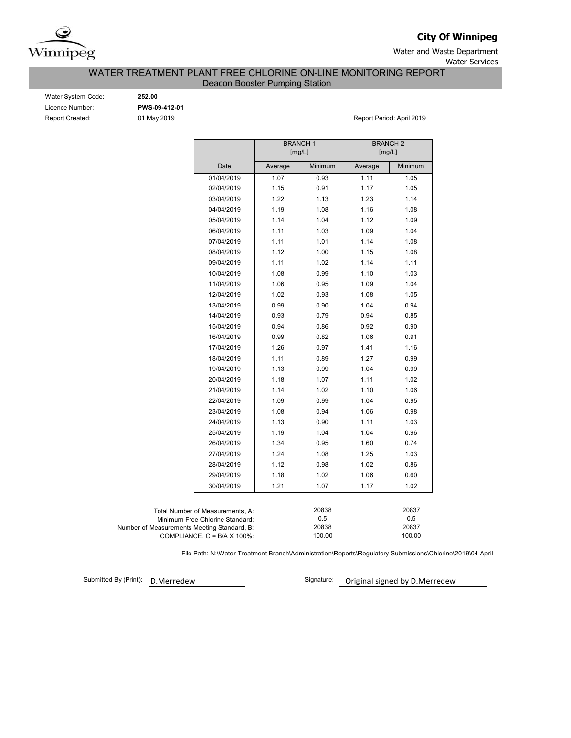

**City Of Winnipeg**

Water and Waste Department Water Services

WATER TREATMENT PLANT FREE CHLORINE ON-LINE MONITORING REPORT

Deacon Booster Pumping Station

| Water System Code:     |
|------------------------|
| Licence Number:        |
| <b>Report Created:</b> |

Water System Code: **252.00** Licence Number: **PWS-09-412-01**

01 May 2019 **Report Period: April 2019** 

|                                             |                                  | <b>BRANCH1</b><br>[mg/L] |         | <b>BRANCH 2</b><br>[mg/L] |         |  |  |  |  |
|---------------------------------------------|----------------------------------|--------------------------|---------|---------------------------|---------|--|--|--|--|
|                                             | Date                             | Average                  | Minimum | Average                   | Minimum |  |  |  |  |
|                                             | 01/04/2019                       | 1.07                     | 0.93    | 1.11                      | 1.05    |  |  |  |  |
|                                             | 02/04/2019                       | 1.15                     | 0.91    | 1.17                      | 1.05    |  |  |  |  |
|                                             | 03/04/2019                       | 1.22                     | 1.13    | 1.23                      | 1.14    |  |  |  |  |
|                                             | 04/04/2019                       | 1.19                     | 1.08    | 1.16                      | 1.08    |  |  |  |  |
|                                             | 05/04/2019                       | 1.14                     | 1.04    | 1.12                      | 1.09    |  |  |  |  |
|                                             | 06/04/2019                       | 1.11                     | 1.03    | 1.09                      | 1.04    |  |  |  |  |
|                                             | 07/04/2019                       | 1.11                     | 1.01    | 1.14                      | 1.08    |  |  |  |  |
|                                             | 08/04/2019                       | 1.12                     | 1.00    | 1.15                      | 1.08    |  |  |  |  |
|                                             | 09/04/2019                       | 1.11                     | 1.02    | 1.14                      | 1.11    |  |  |  |  |
|                                             | 10/04/2019                       | 1.08                     | 0.99    | 1.10                      | 1.03    |  |  |  |  |
|                                             | 11/04/2019                       | 1.06                     | 0.95    | 1.09                      | 1.04    |  |  |  |  |
|                                             | 12/04/2019                       | 1.02                     | 0.93    | 1.08                      | 1.05    |  |  |  |  |
|                                             | 13/04/2019                       | 0.99                     | 0.90    | 1.04                      | 0.94    |  |  |  |  |
|                                             | 14/04/2019                       | 0.93                     | 0.79    | 0.94                      | 0.85    |  |  |  |  |
|                                             | 15/04/2019                       | 0.94                     | 0.86    | 0.92                      | 0.90    |  |  |  |  |
|                                             | 16/04/2019                       | 0.99                     | 0.82    | 1.06                      | 0.91    |  |  |  |  |
|                                             | 17/04/2019                       | 1.26                     | 0.97    | 1.41                      | 1.16    |  |  |  |  |
|                                             | 18/04/2019                       | 1.11                     | 0.89    | 1.27                      | 0.99    |  |  |  |  |
|                                             | 19/04/2019                       | 1.13                     | 0.99    | 1.04                      | 0.99    |  |  |  |  |
|                                             | 20/04/2019                       | 1.18                     | 1.07    | 1.11                      | 1.02    |  |  |  |  |
|                                             | 21/04/2019                       | 1.14                     | 1.02    | 1.10                      | 1.06    |  |  |  |  |
|                                             | 22/04/2019                       | 1.09                     | 0.99    | 1.04                      | 0.95    |  |  |  |  |
|                                             | 23/04/2019                       | 1.08                     | 0.94    | 1.06                      | 0.98    |  |  |  |  |
|                                             | 24/04/2019                       | 1.13                     | 0.90    | 1.11                      | 1.03    |  |  |  |  |
|                                             | 25/04/2019                       | 1.19                     | 1.04    | 1.04                      | 0.96    |  |  |  |  |
|                                             | 26/04/2019                       | 1.34                     | 0.95    | 1.60                      | 0.74    |  |  |  |  |
|                                             | 27/04/2019                       | 1.24                     | 1.08    | 1.25                      | 1.03    |  |  |  |  |
|                                             | 28/04/2019                       | 1.12                     | 0.98    | 1.02                      | 0.86    |  |  |  |  |
|                                             | 29/04/2019                       | 1.18                     | 1.02    | 1.06                      | 0.60    |  |  |  |  |
|                                             | 30/04/2019                       | 1.21                     | 1.07    | 1.17                      | 1.02    |  |  |  |  |
|                                             |                                  |                          |         |                           |         |  |  |  |  |
|                                             | Total Number of Measurements, A: |                          | 20838   |                           | 20837   |  |  |  |  |
|                                             | Minimum Free Chlorine Standard:  |                          | 0.5     |                           | 0.5     |  |  |  |  |
| Number of Measurements Meeting Standard, B: |                                  |                          | 20838   |                           | 20837   |  |  |  |  |
|                                             | COMPLIANCE, C = B/A X 100%:      |                          | 100.00  |                           | 100.00  |  |  |  |  |

File Path: N:\Water Treatment Branch\Administration\Reports\Regulatory Submissions\Chlorine\2019\04-April

Submitted By (Print): D.Merredew

Signature: Original signed by D.Merredew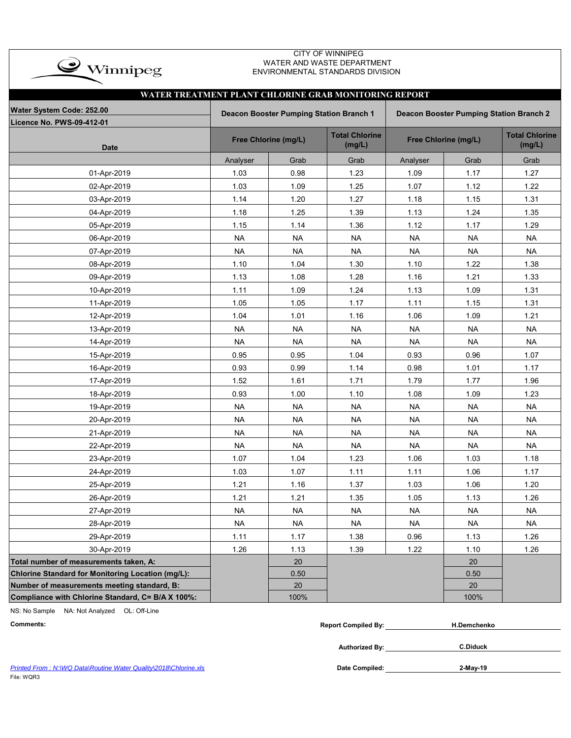| $\rightarrow$ Winnipeg                                |                                                                                           |                      | <b>CITY OF WINNIPEG</b><br>WATER AND WASTE DEPARTMENT<br>ENVIRONMENTAL STANDARDS DIVISION |           |                      |                                 |  |  |  |  |  |  |
|-------------------------------------------------------|-------------------------------------------------------------------------------------------|----------------------|-------------------------------------------------------------------------------------------|-----------|----------------------|---------------------------------|--|--|--|--|--|--|
| WATER TREATMENT PLANT CHLORINE GRAB MONITORING REPORT |                                                                                           |                      |                                                                                           |           |                      |                                 |  |  |  |  |  |  |
| Water System Code: 252.00                             | Deacon Booster Pumping Station Branch 1<br><b>Deacon Booster Pumping Station Branch 2</b> |                      |                                                                                           |           |                      |                                 |  |  |  |  |  |  |
| Licence No. PWS-09-412-01                             |                                                                                           |                      |                                                                                           |           |                      |                                 |  |  |  |  |  |  |
| <b>Date</b>                                           |                                                                                           | Free Chlorine (mg/L) | <b>Total Chlorine</b><br>(mg/L)                                                           |           | Free Chlorine (mg/L) | <b>Total Chlorine</b><br>(mg/L) |  |  |  |  |  |  |
|                                                       | Analyser                                                                                  | Grab                 | Grab                                                                                      | Analyser  | Grab                 | Grab                            |  |  |  |  |  |  |
| 01-Apr-2019                                           | 1.03                                                                                      | 0.98                 | 1.23                                                                                      | 1.09      | 1.17                 | 1.27                            |  |  |  |  |  |  |
| 02-Apr-2019                                           | 1.03                                                                                      | 1.09                 | 1.25                                                                                      | 1.07      | 1.12                 | 1.22                            |  |  |  |  |  |  |
| 03-Apr-2019                                           | 1.14                                                                                      | 1.20                 | 1.27                                                                                      | 1.18      | 1.15                 | 1.31                            |  |  |  |  |  |  |
| 04-Apr-2019                                           | 1.18                                                                                      | 1.25                 | 1.39                                                                                      | 1.13      | 1.24                 | 1.35                            |  |  |  |  |  |  |
| 05-Apr-2019                                           | 1.15                                                                                      | 1.14                 | 1.36                                                                                      | 1.12      | 1.17                 | 1.29                            |  |  |  |  |  |  |
| 06-Apr-2019                                           | <b>NA</b>                                                                                 | <b>NA</b>            | <b>NA</b>                                                                                 | <b>NA</b> | <b>NA</b>            | <b>NA</b>                       |  |  |  |  |  |  |
| 07-Apr-2019                                           | <b>NA</b>                                                                                 | <b>NA</b>            | <b>NA</b>                                                                                 | <b>NA</b> | <b>NA</b>            | <b>NA</b>                       |  |  |  |  |  |  |
| 08-Apr-2019                                           | 1.10                                                                                      | 1.04                 | 1.30                                                                                      | 1.10      | 1.22                 | 1.38                            |  |  |  |  |  |  |
| 09-Apr-2019                                           | 1.13                                                                                      | 1.08                 | 1.28                                                                                      | 1.16      | 1.21                 | 1.33                            |  |  |  |  |  |  |
| 10-Apr-2019                                           | 1.11                                                                                      | 1.09                 | 1.24                                                                                      | 1.13      | 1.09                 | 1.31                            |  |  |  |  |  |  |
| 11-Apr-2019                                           | 1.05                                                                                      | 1.05                 | 1.17                                                                                      | 1.11      | 1.15                 | 1.31                            |  |  |  |  |  |  |
| 12-Apr-2019                                           | 1.04                                                                                      | 1.01                 | 1.16                                                                                      | 1.06      | 1.09                 | 1.21                            |  |  |  |  |  |  |
| 13-Apr-2019                                           | <b>NA</b>                                                                                 | <b>NA</b>            | <b>NA</b>                                                                                 | <b>NA</b> | <b>NA</b>            | <b>NA</b>                       |  |  |  |  |  |  |
| 14-Apr-2019                                           | <b>NA</b>                                                                                 | <b>NA</b>            | <b>NA</b>                                                                                 | <b>NA</b> | <b>NA</b>            | <b>NA</b>                       |  |  |  |  |  |  |
| 15-Apr-2019                                           | 0.95                                                                                      | 0.95                 | 1.04                                                                                      | 0.93      | 0.96                 | 1.07                            |  |  |  |  |  |  |
| 16-Apr-2019                                           | 0.93                                                                                      | 0.99                 | 1.14                                                                                      | 0.98      | 1.01                 | 1.17                            |  |  |  |  |  |  |
| 17-Apr-2019                                           | 1.52                                                                                      | 1.61                 | 1.71                                                                                      | 1.79      | 1.77                 | 1.96                            |  |  |  |  |  |  |
| 18-Apr-2019                                           | 0.93                                                                                      | 1.00                 | 1.10                                                                                      | 1.08      | 1.09                 | 1.23                            |  |  |  |  |  |  |
| 19-Apr-2019                                           | <b>NA</b>                                                                                 | <b>NA</b>            | <b>NA</b>                                                                                 | <b>NA</b> | <b>NA</b>            | <b>NA</b>                       |  |  |  |  |  |  |
| 20-Apr-2019                                           | <b>NA</b>                                                                                 | <b>NA</b>            | <b>NA</b>                                                                                 | <b>NA</b> | <b>NA</b>            | <b>NA</b>                       |  |  |  |  |  |  |
| 21-Apr-2019                                           | <b>NA</b>                                                                                 | <b>NA</b>            | <b>NA</b>                                                                                 | <b>NA</b> | <b>NA</b>            | <b>NA</b>                       |  |  |  |  |  |  |
| 22-Apr-2019                                           | <b>NA</b>                                                                                 | <b>NA</b>            | <b>NA</b>                                                                                 | <b>NA</b> | <b>NA</b>            | <b>NA</b>                       |  |  |  |  |  |  |
| 23-Apr-2019                                           | 1.07                                                                                      | 1.04                 | 1.23                                                                                      | 1.06      | 1.03                 | 1.18                            |  |  |  |  |  |  |
| 24-Apr-2019                                           | 1.03                                                                                      | 1.07                 | 1.11                                                                                      | 1.11      | 1.06                 | 1.17                            |  |  |  |  |  |  |
| 25-Apr-2019                                           | 1.21                                                                                      | 1.16                 | 1.37                                                                                      | 1.03      | 1.06                 | 1.20                            |  |  |  |  |  |  |
| 26-Apr-2019                                           | 1.21                                                                                      | 1.21                 | 1.35                                                                                      | 1.05      | 1.13                 | 1.26                            |  |  |  |  |  |  |
| 27-Apr-2019                                           | <b>NA</b>                                                                                 | <b>NA</b>            | <b>NA</b>                                                                                 | <b>NA</b> | <b>NA</b>            | <b>NA</b>                       |  |  |  |  |  |  |
| 28-Apr-2019                                           | <b>NA</b>                                                                                 | <b>NA</b>            | <b>NA</b>                                                                                 | <b>NA</b> | <b>NA</b>            | <b>NA</b>                       |  |  |  |  |  |  |
| 29-Apr-2019                                           | 1.11                                                                                      | 1.17                 | 1.38                                                                                      | 0.96      | 1.13                 | 1.26                            |  |  |  |  |  |  |
| 30-Apr-2019                                           | 1.26                                                                                      | 1.13                 | 1.39                                                                                      | 1.22      | 1.10                 | 1.26                            |  |  |  |  |  |  |
| Total number of measurements taken, A:                |                                                                                           | 20                   |                                                                                           |           | 20                   |                                 |  |  |  |  |  |  |
| Chlorine Standard for Monitoring Location (mg/L):     |                                                                                           | 0.50                 |                                                                                           |           | 0.50                 |                                 |  |  |  |  |  |  |
| Number of measurements meeting standard, B:           |                                                                                           | 20                   |                                                                                           |           | 20                   |                                 |  |  |  |  |  |  |
| Compliance with Chlorine Standard, C= B/A X 100%:     |                                                                                           | 100%                 |                                                                                           |           | 100%                 |                                 |  |  |  |  |  |  |

NS: No Sample NA: Not Analyzed OL: Off-Line

| Comments: | <b>Report Compiled By:</b> | <b>H.Demchenko</b> |
|-----------|----------------------------|--------------------|
|           | <b>Authorized By:</b>      | <b>C.Diduck</b>    |

Printed From : N:\WQ Data\Routine Water Quality\2018\Chlorine.xls **Date Compiled:** Date Compiled: File: WQR3

**2-May-19**